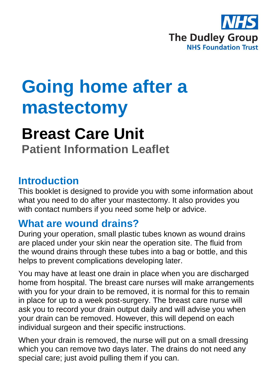

# **Going home after a mastectomy**

# **Breast Care Unit Patient Information Leaflet**

#### **Introduction**

This booklet is designed to provide you with some information about what you need to do after your mastectomy. It also provides you with contact numbers if you need some help or advice.

#### **What are wound drains?**

During your operation, small plastic tubes known as wound drains are placed under your skin near the operation site. The fluid from the wound drains through these tubes into a bag or bottle, and this helps to prevent complications developing later.

You may have at least one drain in place when you are discharged home from hospital. The breast care nurses will make arrangements with you for your drain to be removed, it is normal for this to remain in place for up to a week post-surgery. The breast care nurse will ask you to record your drain output daily and will advise you when your drain can be removed. However, this will depend on each individual surgeon and their specific instructions.

When your drain is removed, the nurse will put on a small dressing which you can remove two days later. The drains do not need any special care; just avoid pulling them if you can.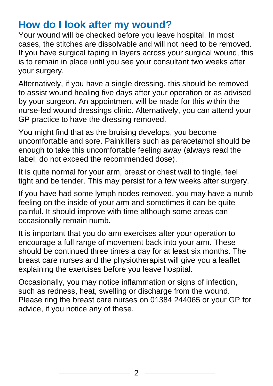## **How do I look after my wound?**

Your wound will be checked before you leave hospital. In most cases, the stitches are dissolvable and will not need to be removed. If you have surgical taping in layers across your surgical wound, this is to remain in place until you see your consultant two weeks after your surgery.

Alternatively, if you have a single dressing, this should be removed to assist wound healing five days after your operation or as advised by your surgeon. An appointment will be made for this within the nurse-led wound dressings clinic. Alternatively, you can attend your GP practice to have the dressing removed.

You might find that as the bruising develops, you become uncomfortable and sore. Painkillers such as paracetamol should be enough to take this uncomfortable feeling away (always read the label; do not exceed the recommended dose).

It is quite normal for your arm, breast or chest wall to tingle, feel tight and be tender. This may persist for a few weeks after surgery.

If you have had some lymph nodes removed, you may have a numb feeling on the inside of your arm and sometimes it can be quite painful. It should improve with time although some areas can occasionally remain numb.

It is important that you do arm exercises after your operation to encourage a full range of movement back into your arm. These should be continued three times a day for at least six months. The breast care nurses and the physiotherapist will give you a leaflet explaining the exercises before you leave hospital.

Occasionally, you may notice inflammation or signs of infection, such as redness, heat, swelling or discharge from the wound. Please ring the breast care nurses on 01384 244065 or your GP for advice, if you notice any of these.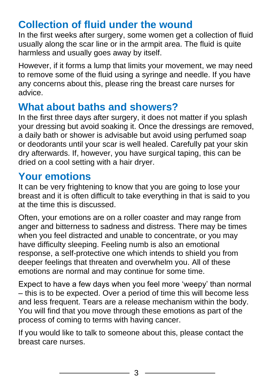# **Collection of fluid under the wound**

In the first weeks after surgery, some women get a collection of fluid usually along the scar line or in the armpit area. The fluid is quite harmless and usually goes away by itself.

However, if it forms a lump that limits your movement, we may need to remove some of the fluid using a syringe and needle. If you have any concerns about this, please ring the breast care nurses for advice.

## **What about baths and showers?**

In the first three days after surgery, it does not matter if you splash your dressing but avoid soaking it. Once the dressings are removed, a daily bath or shower is advisable but avoid using perfumed soap or deodorants until your scar is well healed. Carefully pat your skin dry afterwards. If, however, you have surgical taping, this can be dried on a cool setting with a hair dryer.

#### **Your emotions**

It can be very frightening to know that you are going to lose your breast and it is often difficult to take everything in that is said to you at the time this is discussed.

Often, your emotions are on a roller coaster and may range from anger and bitterness to sadness and distress. There may be times when you feel distracted and unable to concentrate, or you may have difficulty sleeping. Feeling numb is also an emotional response, a self-protective one which intends to shield you from deeper feelings that threaten and overwhelm you. All of these emotions are normal and may continue for some time.

Expect to have a few days when you feel more 'weepy' than normal – this is to be expected. Over a period of time this will become less and less frequent. Tears are a release mechanism within the body. You will find that you move through these emotions as part of the process of coming to terms with having cancer.

If you would like to talk to someone about this, please contact the breast care nurses.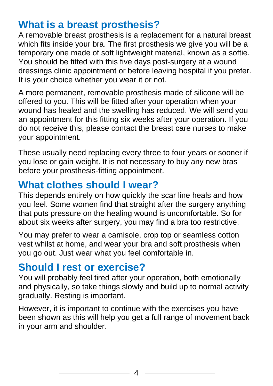# **What is a breast prosthesis?**

A removable breast prosthesis is a replacement for a natural breast which fits inside your bra. The first prosthesis we give you will be a temporary one made of soft lightweight material, known as a softie. You should be fitted with this five days post-surgery at a wound dressings clinic appointment or before leaving hospital if you prefer. It is your choice whether you wear it or not.

A more permanent, removable prosthesis made of silicone will be offered to you. This will be fitted after your operation when your wound has healed and the swelling has reduced. We will send you an appointment for this fitting six weeks after your operation. If you do not receive this, please contact the breast care nurses to make your appointment.

These usually need replacing every three to four years or sooner if you lose or gain weight. It is not necessary to buy any new bras before your prosthesis-fitting appointment.

#### **What clothes should I wear?**

This depends entirely on how quickly the scar line heals and how you feel. Some women find that straight after the surgery anything that puts pressure on the healing wound is uncomfortable. So for about six weeks after surgery, you may find a bra too restrictive.

You may prefer to wear a camisole, crop top or seamless cotton vest whilst at home, and wear your bra and soft prosthesis when you go out. Just wear what you feel comfortable in.

#### **Should I rest or exercise?**

You will probably feel tired after your operation, both emotionally and physically, so take things slowly and build up to normal activity gradually. Resting is important.

However, it is important to continue with the exercises you have been shown as this will help you get a full range of movement back in your arm and shoulder.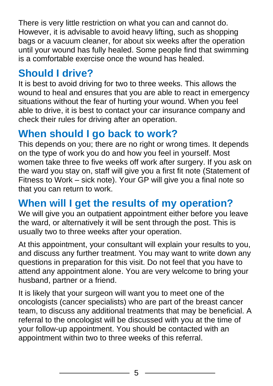There is very little restriction on what you can and cannot do. However, it is advisable to avoid heavy lifting, such as shopping bags or a vacuum cleaner, for about six weeks after the operation until your wound has fully healed. Some people find that swimming is a comfortable exercise once the wound has healed.

# **Should I drive?**

It is best to avoid driving for two to three weeks. This allows the wound to heal and ensures that you are able to react in emergency situations without the fear of hurting your wound. When you feel able to drive, it is best to contact your car insurance company and check their rules for driving after an operation.

#### **When should I go back to work?**

This depends on you; there are no right or wrong times. It depends on the type of work you do and how you feel in yourself. Most women take three to five weeks off work after surgery. If you ask on the ward you stay on, staff will give you a first fit note (Statement of Fitness to Work – sick note). Your GP will give you a final note so that you can return to work.

## **When will I get the results of my operation?**

We will give you an outpatient appointment either before you leave the ward, or alternatively it will be sent through the post. This is usually two to three weeks after your operation.

At this appointment, your consultant will explain your results to you, and discuss any further treatment. You may want to write down any questions in preparation for this visit. Do not feel that you have to attend any appointment alone. You are very welcome to bring your husband, partner or a friend.

It is likely that your surgeon will want you to meet one of the oncologists (cancer specialists) who are part of the breast cancer team, to discuss any additional treatments that may be beneficial. A referral to the oncologist will be discussed with you at the time of your follow-up appointment. You should be contacted with an appointment within two to three weeks of this referral.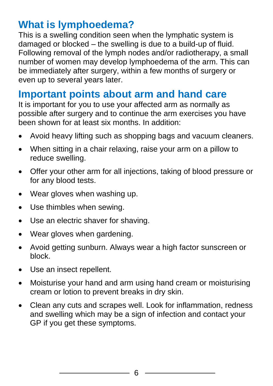# **What is lymphoedema?**

This is a swelling condition seen when the lymphatic system is damaged or blocked – the swelling is due to a build-up of fluid. Following removal of the lymph nodes and/or radiotherapy, a small number of women may develop lymphoedema of the arm. This can be immediately after surgery, within a few months of surgery or even up to several years later.

#### **Important points about arm and hand care**

It is important for you to use your affected arm as normally as possible after surgery and to continue the arm exercises you have been shown for at least six months. In addition:

- Avoid heavy lifting such as shopping bags and vacuum cleaners.
- When sitting in a chair relaxing, raise your arm on a pillow to reduce swelling.
- Offer your other arm for all injections, taking of blood pressure or for any blood tests.
- Wear gloves when washing up.
- Use thimbles when sewing.
- Use an electric shaver for shaving.
- Wear gloves when gardening.
- Avoid getting sunburn. Always wear a high factor sunscreen or block.
- Use an insect repellent.
- Moisturise your hand and arm using hand cream or moisturising cream or lotion to prevent breaks in dry skin.
- Clean any cuts and scrapes well. Look for inflammation, redness and swelling which may be a sign of infection and contact your GP if you get these symptoms.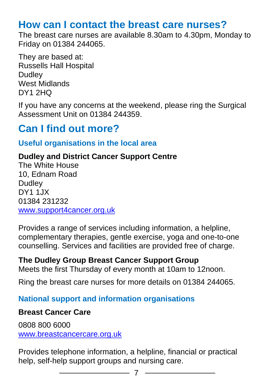## **How can I contact the breast care nurses?**

The breast care nurses are available 8.30am to 4.30pm, Monday to Friday on 01384 244065.

They are based at: Russells Hall Hospital **Dudley** West Midlands DY1 2HQ

If you have any concerns at the weekend, please ring the Surgical Assessment Unit on 01384 244359.

## **Can I find out more?**

#### **Useful organisations in the local area**

#### **Dudley and District Cancer Support Centre**

The White House 10, Ednam Road **Dudley** DY1 1JX 01384 231232 [www.support4cancer.org.uk](http://www.support4cancer.org.uk/)

Provides a range of services including information, a helpline, complementary therapies, gentle exercise, yoga and one-to-one counselling. Services and facilities are provided free of charge.

#### **The Dudley Group Breast Cancer Support Group**

Meets the first Thursday of every month at 10am to 12noon.

Ring the breast care nurses for more details on 01384 244065.

#### **National support and information organisations**

#### **Breast Cancer Care**

0808 800 6000 [www.breastcancercare.org.uk](http://www.breastcancercare.org.uk/)

Provides telephone information, a helpline, financial or practical help, self-help support groups and nursing care.